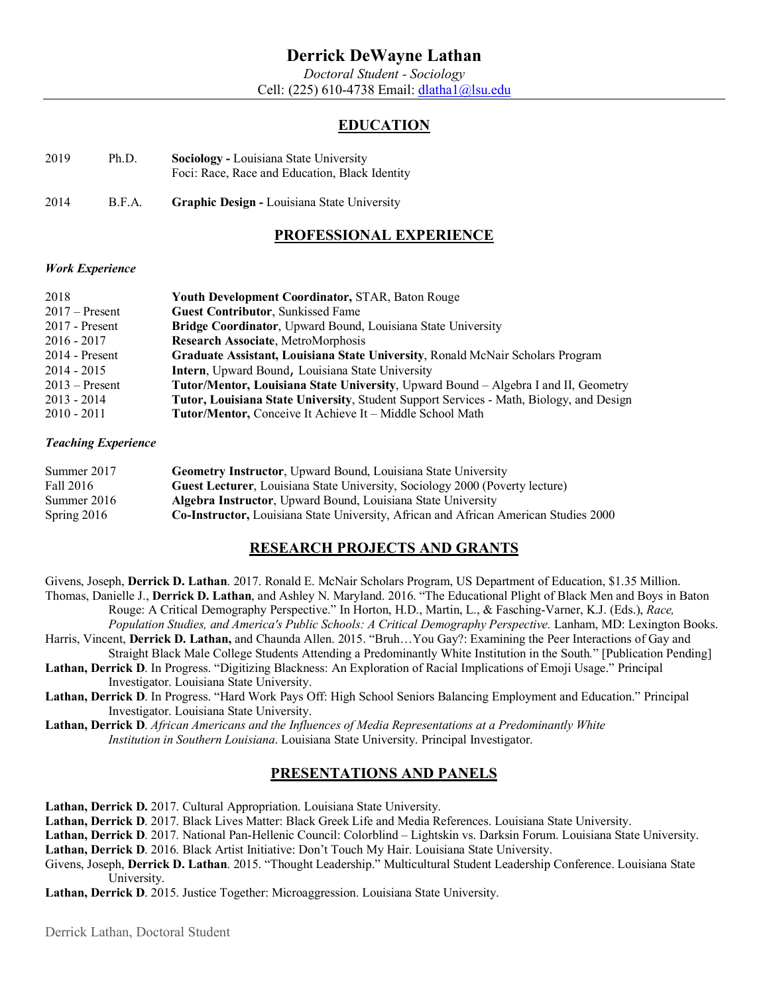*Doctoral Student - Sociology* Cell: (225) 610-4738 Email: dlatha1@lsu.edu

# **EDUCATION**

| 2019 | Ph.D. | <b>Sociology</b> - Louisiana State University  |
|------|-------|------------------------------------------------|
|      |       | Foci: Race, Race and Education, Black Identity |

2014 B.F.A. **Graphic Design -** Louisiana State University

# **PROFESSIONAL EXPERIENCE**

#### *Work Experience*

| 2018             | <b>Youth Development Coordinator, STAR, Baton Rouge</b>                                        |
|------------------|------------------------------------------------------------------------------------------------|
| $2017$ – Present | <b>Guest Contributor, Sunkissed Fame</b>                                                       |
| $2017$ - Present | Bridge Coordinator, Upward Bound, Louisiana State University                                   |
| $2016 - 2017$    | Research Associate, MetroMorphosis                                                             |
| $2014$ - Present | Graduate Assistant, Louisiana State University, Ronald McNair Scholars Program                 |
| $2014 - 2015$    | Intern, Upward Bound, Louisiana State University                                               |
| $2013$ – Present | <b>Tutor/Mentor, Louisiana State University, Upward Bound – Algebra I and II, Geometry</b>     |
| $2013 - 2014$    | <b>Tutor, Louisiana State University, Student Support Services - Math, Biology, and Design</b> |
| $2010 - 2011$    | Tutor/Mentor, Conceive It Achieve It - Middle School Math                                      |

#### *Teaching Experience*

| Summer 2017   | <b>Geometry Instructor, Upward Bound, Louisiana State University</b>                        |
|---------------|---------------------------------------------------------------------------------------------|
| Fall 2016     | Guest Lecturer, Louisiana State University, Sociology 2000 (Poverty lecture)                |
| Summer 2016   | <b>Algebra Instructor, Upward Bound, Louisiana State University</b>                         |
| Spring $2016$ | <b>Co-Instructor, Louisiana State University, African and African American Studies 2000</b> |

# **RESEARCH PROJECTS AND GRANTS**

Givens, Joseph, **Derrick D. Lathan**. 2017. Ronald E. McNair Scholars Program, US Department of Education, \$1.35 Million. Thomas, Danielle J., **Derrick D. Lathan**, and Ashley N. Maryland. 2016. "The Educational Plight of Black Men and Boys in Baton

Rouge: A Critical Demography Perspective." In Horton, H.D., Martin, L., & Fasching-Varner, K.J. (Eds.), *Race, Population Studies, and America's Public Schools: A Critical Demography Perspective.* Lanham, MD: Lexington Books.

Harris, Vincent, **Derrick D. Lathan,** and Chaunda Allen. 2015. "Bruh…You Gay?: Examining the Peer Interactions of Gay and

Straight Black Male College Students Attending a Predominantly White Institution in the South*.*" [Publication Pending] **Lathan, Derrick D**. In Progress. "Digitizing Blackness: An Exploration of Racial Implications of Emoji Usage." Principal Investigator. Louisiana State University.

**Lathan, Derrick D**. In Progress. "Hard Work Pays Off: High School Seniors Balancing Employment and Education." Principal Investigator. Louisiana State University.

**Lathan, Derrick D**. *African Americans and the Influences of Media Representations at a Predominantly White Institution in Southern Louisiana*. Louisiana State University. Principal Investigator.

### **PRESENTATIONS AND PANELS**

Lathan, Derrick D. 2017. Cultural Appropriation. Louisiana State University.

**Lathan, Derrick D**. 2017. Black Lives Matter: Black Greek Life and Media References. Louisiana State University.

**Lathan, Derrick D**. 2017. National Pan-Hellenic Council: Colorblind – Lightskin vs. Darksin Forum. Louisiana State University.

**Lathan, Derrick D**. 2016. Black Artist Initiative: Don't Touch My Hair. Louisiana State University.

Givens, Joseph, **Derrick D. Lathan**. 2015. "Thought Leadership." Multicultural Student Leadership Conference. Louisiana State University.

**Lathan, Derrick D**. 2015. Justice Together: Microaggression. Louisiana State University.

Derrick Lathan, Doctoral Student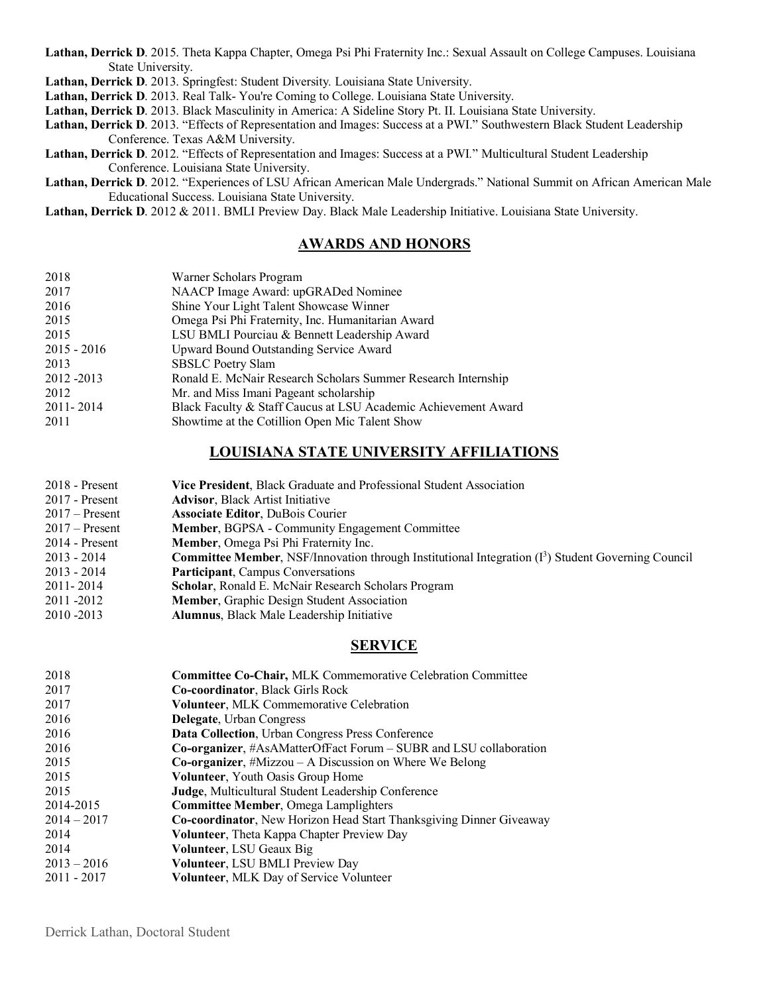**Lathan, Derrick D**. 2015. Theta Kappa Chapter, Omega Psi Phi Fraternity Inc.: Sexual Assault on College Campuses. Louisiana State University.

**Lathan, Derrick D**. 2013. Springfest: Student Diversity*.* Louisiana State University.

**Lathan, Derrick D**. 2013. Real Talk- You're Coming to College. Louisiana State University.

**Lathan, Derrick D**. 2013. Black Masculinity in America: A Sideline Story Pt. II. Louisiana State University.

**Lathan, Derrick D**. 2013. "Effects of Representation and Images: Success at a PWI." Southwestern Black Student Leadership Conference. Texas A&M University.

- **Lathan, Derrick D**. 2012. "Effects of Representation and Images: Success at a PWI*.*" Multicultural Student Leadership Conference. Louisiana State University.
- **Lathan, Derrick D**. 2012. "Experiences of LSU African American Male Undergrads." National Summit on African American Male Educational Success. Louisiana State University.

**Lathan, Derrick D**. 2012 & 2011. BMLI Preview Day. Black Male Leadership Initiative. Louisiana State University.

#### **AWARDS AND HONORS**

| 2018        | Warner Scholars Program                                        |
|-------------|----------------------------------------------------------------|
| 2017        | NAACP Image Award: upGRADed Nominee                            |
| 2016        | Shine Your Light Talent Showcase Winner                        |
| 2015        | Omega Psi Phi Fraternity, Inc. Humanitarian Award              |
| 2015        | LSU BMLI Pourciau & Bennett Leadership Award                   |
| 2015 - 2016 | Upward Bound Outstanding Service Award                         |
| 2013        | <b>SBSLC Poetry Slam</b>                                       |
| 2012 - 2013 | Ronald E. McNair Research Scholars Summer Research Internship  |
| 2012        | Mr. and Miss Imani Pageant scholarship                         |
| 2011-2014   | Black Faculty & Staff Caucus at LSU Academic Achievement Award |
| 2011        | Showtime at the Cotillion Open Mic Talent Show                 |
|             |                                                                |

# **LOUISIANA STATE UNIVERSITY AFFILIATIONS**

| $2018$ - Present | Vice President, Black Graduate and Professional Student Association                                                    |
|------------------|------------------------------------------------------------------------------------------------------------------------|
| 2017 - Present   | <b>Advisor, Black Artist Initiative</b>                                                                                |
| $2017$ – Present | <b>Associate Editor, DuBois Courier</b>                                                                                |
| $2017 -$ Present | <b>Member, BGPSA - Community Engagement Committee</b>                                                                  |
| $2014$ - Present | Member, Omega Psi Phi Fraternity Inc.                                                                                  |
| 2013 - 2014      | <b>Committee Member, NSF/Innovation through Institutional Integration <math>(I^3)</math> Student Governing Council</b> |
| 2013 - 2014      | <b>Participant, Campus Conversations</b>                                                                               |
| 2011-2014        | Scholar, Ronald E. McNair Research Scholars Program                                                                    |
| 2011-2012        | <b>Member, Graphic Design Student Association</b>                                                                      |
| 2010 - 2013      | <b>Alumnus, Black Male Leadership Initiative</b>                                                                       |

### **SERVICE**

| Co-coordinator, Black Girls Rock<br>2017<br>Volunteer, MLK Commemorative Celebration<br>2017<br>2016<br><b>Delegate</b> , Urban Congress<br>2016<br>Data Collection, Urban Congress Press Conference<br>2016<br>$Co$ -organizer, #AsAMatterOfFact Forum – SUBR and LSU collaboration<br><b>Co-organizer</b> , $\#$ Mizzou – A Discussion on Where We Belong<br>2015<br>2015<br><b>Volunteer</b> , Youth Oasis Group Home<br><b>Judge, Multicultural Student Leadership Conference</b><br>2015<br>2014-2015<br><b>Committee Member, Omega Lamplighters</b><br>$2014 - 2017$<br><b>Co-coordinator</b> , New Horizon Head Start Thanksgiving Dinner Giveaway<br>2014<br>Volunteer, Theta Kappa Chapter Preview Day<br>2014<br>Volunteer, LSU Geaux Big<br>$2013 - 2016$<br><b>Volunteer, LSU BMLI Preview Day</b> | 2018          | Committee Co-Chair, MLK Commemorative Celebration Committee |
|----------------------------------------------------------------------------------------------------------------------------------------------------------------------------------------------------------------------------------------------------------------------------------------------------------------------------------------------------------------------------------------------------------------------------------------------------------------------------------------------------------------------------------------------------------------------------------------------------------------------------------------------------------------------------------------------------------------------------------------------------------------------------------------------------------------|---------------|-------------------------------------------------------------|
|                                                                                                                                                                                                                                                                                                                                                                                                                                                                                                                                                                                                                                                                                                                                                                                                                |               |                                                             |
|                                                                                                                                                                                                                                                                                                                                                                                                                                                                                                                                                                                                                                                                                                                                                                                                                |               |                                                             |
|                                                                                                                                                                                                                                                                                                                                                                                                                                                                                                                                                                                                                                                                                                                                                                                                                |               |                                                             |
|                                                                                                                                                                                                                                                                                                                                                                                                                                                                                                                                                                                                                                                                                                                                                                                                                |               |                                                             |
|                                                                                                                                                                                                                                                                                                                                                                                                                                                                                                                                                                                                                                                                                                                                                                                                                |               |                                                             |
|                                                                                                                                                                                                                                                                                                                                                                                                                                                                                                                                                                                                                                                                                                                                                                                                                |               |                                                             |
|                                                                                                                                                                                                                                                                                                                                                                                                                                                                                                                                                                                                                                                                                                                                                                                                                |               |                                                             |
|                                                                                                                                                                                                                                                                                                                                                                                                                                                                                                                                                                                                                                                                                                                                                                                                                |               |                                                             |
|                                                                                                                                                                                                                                                                                                                                                                                                                                                                                                                                                                                                                                                                                                                                                                                                                |               |                                                             |
|                                                                                                                                                                                                                                                                                                                                                                                                                                                                                                                                                                                                                                                                                                                                                                                                                |               |                                                             |
|                                                                                                                                                                                                                                                                                                                                                                                                                                                                                                                                                                                                                                                                                                                                                                                                                |               |                                                             |
|                                                                                                                                                                                                                                                                                                                                                                                                                                                                                                                                                                                                                                                                                                                                                                                                                |               |                                                             |
|                                                                                                                                                                                                                                                                                                                                                                                                                                                                                                                                                                                                                                                                                                                                                                                                                |               |                                                             |
|                                                                                                                                                                                                                                                                                                                                                                                                                                                                                                                                                                                                                                                                                                                                                                                                                | $2011 - 2017$ | Volunteer, MLK Day of Service Volunteer                     |